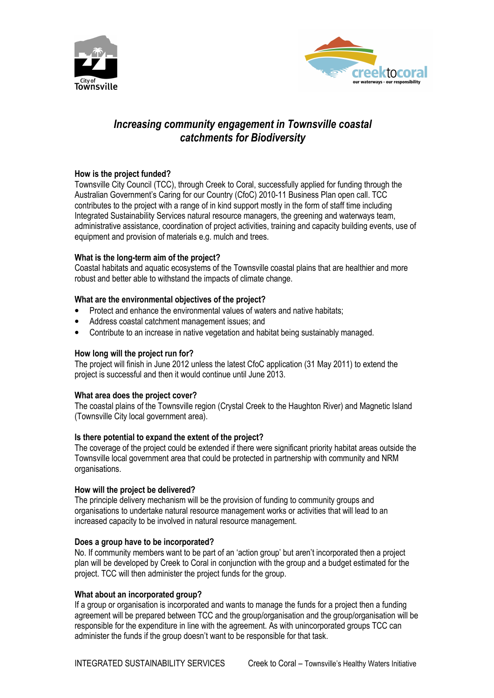



# Increasing community engagement in Townsville coastal catchments for Biodiversity

# How is the project funded?

Townsville City Council (TCC), through Creek to Coral, successfully applied for funding through the Australian Government's Caring for our Country (CfoC) 2010-11 Business Plan open call. TCC contributes to the project with a range of in kind support mostly in the form of staff time including Integrated Sustainability Services natural resource managers, the greening and waterways team, administrative assistance, coordination of project activities, training and capacity building events, use of equipment and provision of materials e.g. mulch and trees.

# What is the long-term aim of the project?

Coastal habitats and aquatic ecosystems of the Townsville coastal plains that are healthier and more robust and better able to withstand the impacts of climate change.

# What are the environmental objectives of the project?

- Protect and enhance the environmental values of waters and native habitats;
- Address coastal catchment management issues; and
- Contribute to an increase in native vegetation and habitat being sustainably managed.

#### How long will the project run for?

The project will finish in June 2012 unless the latest CfoC application (31 May 2011) to extend the project is successful and then it would continue until June 2013.

#### What area does the project cover?

The coastal plains of the Townsville region (Crystal Creek to the Haughton River) and Magnetic Island (Townsville City local government area).

#### Is there potential to expand the extent of the project?

The coverage of the project could be extended if there were significant priority habitat areas outside the Townsville local government area that could be protected in partnership with community and NRM organisations.

#### How will the project be delivered?

The principle delivery mechanism will be the provision of funding to community groups and organisations to undertake natural resource management works or activities that will lead to an increased capacity to be involved in natural resource management.

#### Does a group have to be incorporated?

No. If community members want to be part of an 'action group' but aren't incorporated then a project plan will be developed by Creek to Coral in conjunction with the group and a budget estimated for the project. TCC will then administer the project funds for the group.

#### What about an incorporated group?

If a group or organisation is incorporated and wants to manage the funds for a project then a funding agreement will be prepared between TCC and the group/organisation and the group/organisation will be responsible for the expenditure in line with the agreement. As with unincorporated groups TCC can administer the funds if the group doesn't want to be responsible for that task.